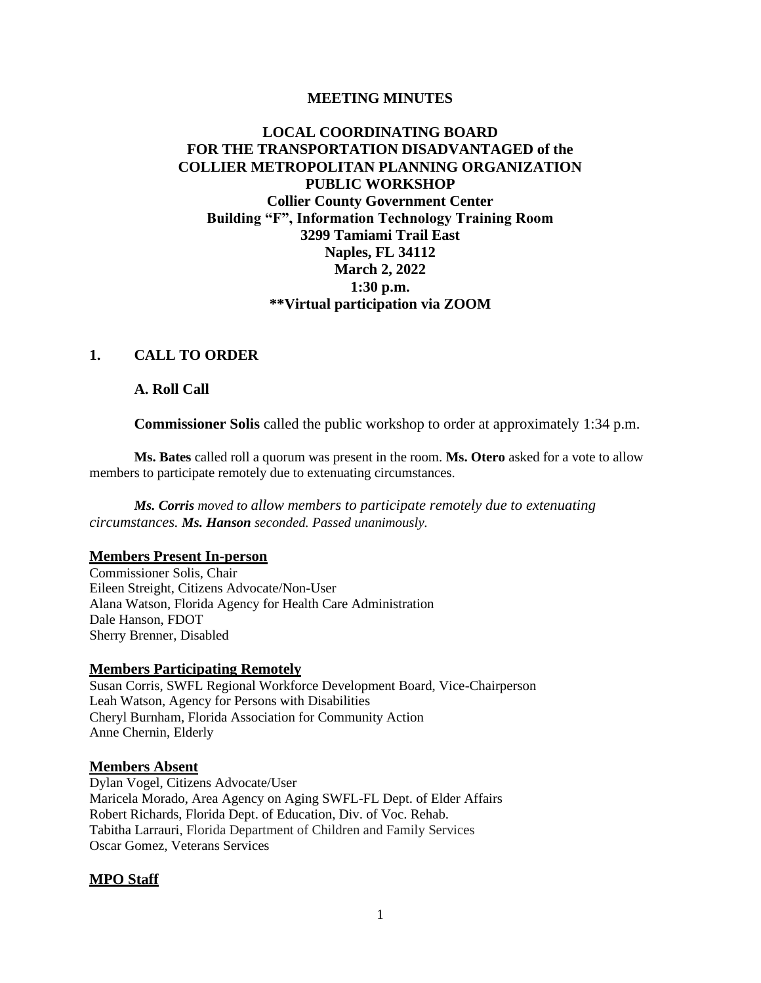#### **MEETING MINUTES**

# **LOCAL COORDINATING BOARD FOR THE TRANSPORTATION DISADVANTAGED of the COLLIER METROPOLITAN PLANNING ORGANIZATION PUBLIC WORKSHOP Collier County Government Center Building "F", Information Technology Training Room 3299 Tamiami Trail East Naples, FL 34112 March 2, 2022 1:30 p.m. \*\*Virtual participation via ZOOM**

# **1. CALL TO ORDER**

**A. Roll Call** 

**Commissioner Solis** called the public workshop to order at approximately 1:34 p.m.

**Ms. Bates** called roll a quorum was present in the room. **Ms. Otero** asked for a vote to allow members to participate remotely due to extenuating circumstances.

*Ms. Corris moved to allow members to participate remotely due to extenuating circumstances. Ms. Hanson seconded. Passed unanimously.*

## **Members Present In-person**

Commissioner Solis, Chair Eileen Streight, Citizens Advocate/Non-User Alana Watson, Florida Agency for Health Care Administration Dale Hanson, FDOT Sherry Brenner, Disabled

#### **Members Participating Remotely**

Susan Corris, SWFL Regional Workforce Development Board, Vice-Chairperson Leah Watson, Agency for Persons with Disabilities Cheryl Burnham, Florida Association for Community Action Anne Chernin, Elderly

#### **Members Absent**

Dylan Vogel, Citizens Advocate/User Maricela Morado, Area Agency on Aging SWFL-FL Dept. of Elder Affairs Robert Richards, Florida Dept. of Education, Div. of Voc. Rehab. Tabitha Larrauri, Florida Department of Children and Family Services Oscar Gomez, Veterans Services

#### **MPO Staff**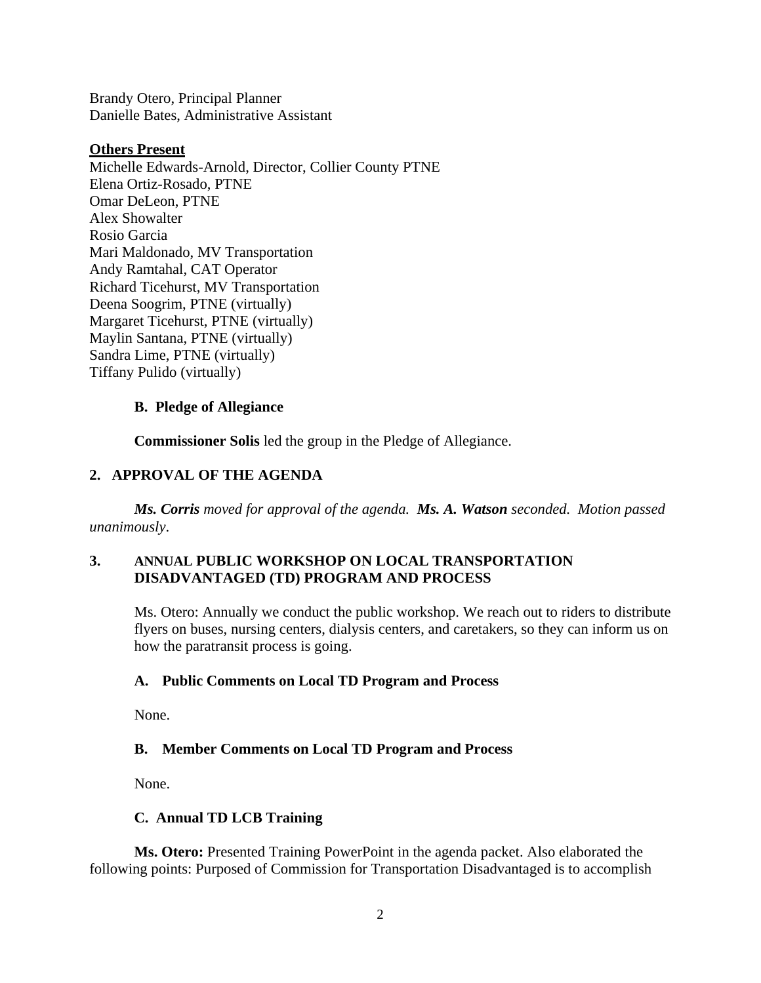Brandy Otero, Principal Planner Danielle Bates, Administrative Assistant

#### **Others Present**

Michelle Edwards-Arnold, Director, Collier County PTNE Elena Ortiz-Rosado, PTNE Omar DeLeon, PTNE Alex Showalter Rosio Garcia Mari Maldonado, MV Transportation Andy Ramtahal, CAT Operator Richard Ticehurst, MV Transportation Deena Soogrim, PTNE (virtually) Margaret Ticehurst, PTNE (virtually) Maylin Santana, PTNE (virtually) Sandra Lime, PTNE (virtually) Tiffany Pulido (virtually)

## **B. Pledge of Allegiance**

**Commissioner Solis** led the group in the Pledge of Allegiance.

## **2. APPROVAL OF THE AGENDA**

*Ms. Corris moved for approval of the agenda. Ms. A. Watson seconded. Motion passed unanimously*.

## **3. ANNUAL PUBLIC WORKSHOP ON LOCAL TRANSPORTATION DISADVANTAGED (TD) PROGRAM AND PROCESS**

Ms. Otero: Annually we conduct the public workshop. We reach out to riders to distribute flyers on buses, nursing centers, dialysis centers, and caretakers, so they can inform us on how the paratransit process is going.

## **A. Public Comments on Local TD Program and Process**

None.

## **B. Member Comments on Local TD Program and Process**

None.

## **C. Annual TD LCB Training**

**Ms. Otero:** Presented Training PowerPoint in the agenda packet. Also elaborated the following points: Purposed of Commission for Transportation Disadvantaged is to accomplish